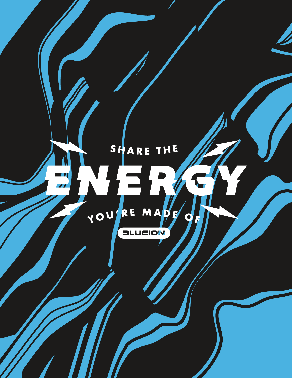# SHARE THE

 $\overline{\mathscr{L}}$ 



**ELUEION**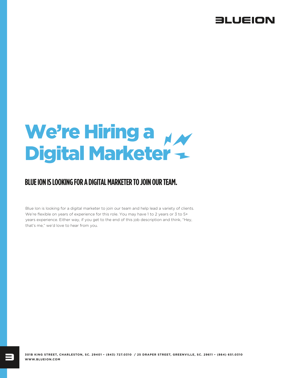

# We're Hiring a Digital Marketer

## **BLUE ION IS LOOKING FOR A DIGITAL MARKETER TO JOIN OUR TEAM.**

Blue Ion is looking for a digital marketer to join our team and help lead a variety of clients. We're flexible on years of experience for this role. You may have 1 to 2 years or 3 to 5+ years experience. Either way, if you get to the end of this job description and think, "Hey, that's me," we'd love to hear from you.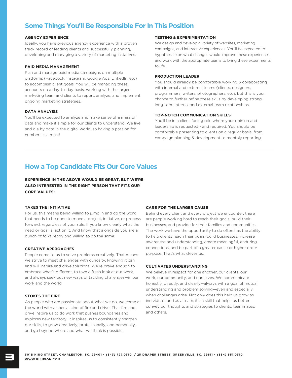## **Some Things You'll Be Responsible For In This Position**

#### **AGENCY EXPERIENCE**

Ideally, you have previous agency experience with a proven track record of leading clients and successfully planning, developing and managing a variety of marketing initiatives.

#### **PAID MEDIA MANAGEMENT**

Plan and manage paid media campaigns on multiple platforms (Facebook, Instagram, Google Ads, LinkedIn, etc) to accomplish client goals. You will be managing these accounts on a day-to-day basis, working with the larger marketing team and clients to report, analyze, and implement ongoing marketing strategies.

#### **DATA ANALYSIS**

You'll be expected to analyze and make sense of a mass of data and make it simple for our clients to understand. We live and die by data in the digital world, so having a passion for numbers is a must!

#### **TESTING & EXPERIMENTATION**

We design and develop a variety of websites, marketing campaigns, and interactive experiences. You'll be expected to hypothesize on what changes would improve these experiences and work with the appropriate teams to bring these experiments to life.

#### **PRODUCTION LEADER**

You should already be comfortable working & collaborating with internal and external teams (clients, designers, programmers, writers, photographers, etc), but this is your chance to further refine these skills by developing strong, long-term internal and external team relationships.

#### **TOP-NOTCH COMMUNICATION SKILLS**

You'll be in a client-facing role where your opinion and leadership is requested - and required. You should be comfortable presenting to clients on a regular basis, from campaign planning & development to monthly reporting.

## **How a Top Candidate Fits Our Core Values**

**EXPERIENCE IN THE ABOVE WOULD BE GREAT, BUT WE'RE ALSO INTERESTED IN THE RIGHT PERSON THAT FITS OUR CORE VALUES:**

#### **TAKES THE INITIATIVE**

For us, this means being willing to jump in and do the work that needs to be done to move a project, initiative, or process forward, regardless of your role. If you know clearly what the need or goal is, act on it. And know that alongside you are a bunch of folks ready and willing to do the same.

#### **CREATIVE APPROACHES**

People come to us to solve problems creatively. That means we strive to meet challenges with curiosity, knowing it can and will inspire and drive solutions. We're brave enough to embrace what's different, to take a fresh look at our work. and always seek out new ways of tackling challenges—in our work and the world.

#### **STOKES THE FIRE**

As people who are passionate about what we do, we come at the world with a special kind of fire and drive. That fire and drive inspire us to do work that pushes boundaries and explores new territory. It inspires us to consistently sharpen our skills, to grow creatively, professionally, and personally, and go beyond where and what we think is possible.

#### **CARE FOR THE LARGER CAUSE**

Behind every client and every project we encounter, there are people working hard to reach their goals, build their businesses, and provide for their families and communities. The work we have the opportunity to do often has the ability to help clients reach their goals, build businesses, increase awareness and understanding, create meaningful, enduring connections, and be part of a greater cause or higher order purpose. That's what drives us.

#### **CULTIVATES UNDERSTANDING**

We believe in respect for one another, our clients, our work, our community, and ourselves. We communicate honestly, directly, and clearly—always with a goal of mutual understanding and problem solving—even and especially when challenges arise. Not only does this help us grow as individuals and as a team, it's a skill that helps us better convey our thoughts and strategies to clients, teammates, and others.